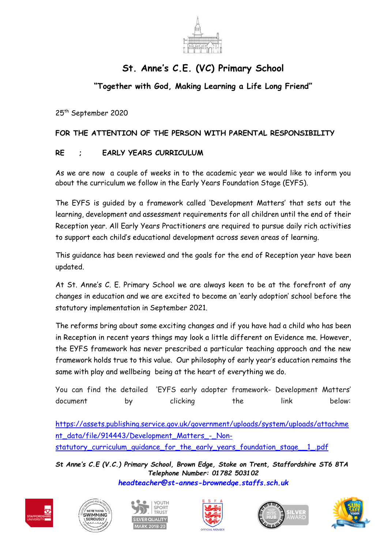

## **St. Anne's C.E. (VC) Primary School**

## **"Together with God, Making Learning a Life Long Friend"**

25th September 2020

## **FOR THE ATTENTION OF THE PERSON WITH PARENTAL RESPONSIBILITY**

## **RE ; EARLY YEARS CURRICULUM**

As we are now a couple of weeks in to the academic year we would like to inform you about the curriculum we follow in the Early Years Foundation Stage (EYFS).

The EYFS is guided by a framework called 'Development Matters' that sets out the learning, development and assessment requirements for all children until the end of their Reception year. All Early Years Practitioners are required to pursue daily rich activities to support each child's educational development across seven areas of learning.

This guidance has been reviewed and the goals for the end of Reception year have been updated.

At St. Anne's C. E. Primary School we are always keen to be at the forefront of any changes in education and we are excited to become an 'early adoption' school before the statutory implementation in September 2021.

The reforms bring about some exciting changes and if you have had a child who has been in Reception in recent years things may look a little different on Evidence me. However, the EYFS framework has never prescribed a particular teaching approach and the new framework holds true to this value. Our philosophy of early year's education remains the same with play and wellbeing being at the heart of everything we do.

You can find the detailed 'EYFS early adopter framework- Development Matters' document by clicking the link below:

[https://assets.publishing.service.gov.uk/government/uploads/system/uploads/attachme](https://assets.publishing.service.gov.uk/government/uploads/system/uploads/attachment_data/file/914443/Development_Matters_-_Non-statutory_curriculum_guidance_for_the_early_years_foundation_stage__1_.pdf) [nt\\_data/file/914443/Development\\_Matters\\_-\\_Non](https://assets.publishing.service.gov.uk/government/uploads/system/uploads/attachment_data/file/914443/Development_Matters_-_Non-statutory_curriculum_guidance_for_the_early_years_foundation_stage__1_.pdf)[statutory\\_curriculum\\_guidance\\_for\\_the\\_early\\_years\\_foundation\\_stage\\_\\_1\\_.pdf](https://assets.publishing.service.gov.uk/government/uploads/system/uploads/attachment_data/file/914443/Development_Matters_-_Non-statutory_curriculum_guidance_for_the_early_years_foundation_stage__1_.pdf)

*St Anne's C.E (V.C.) Primary School, Brown Edge, Stoke on Trent, Staffordshire ST6 8TA Telephone Number: 01782 503102 [headteacher@st-annes-brownedge.staffs.sch.uk](mailto:headteacher@st-annes-brownedge.staffs.sch.uk)*